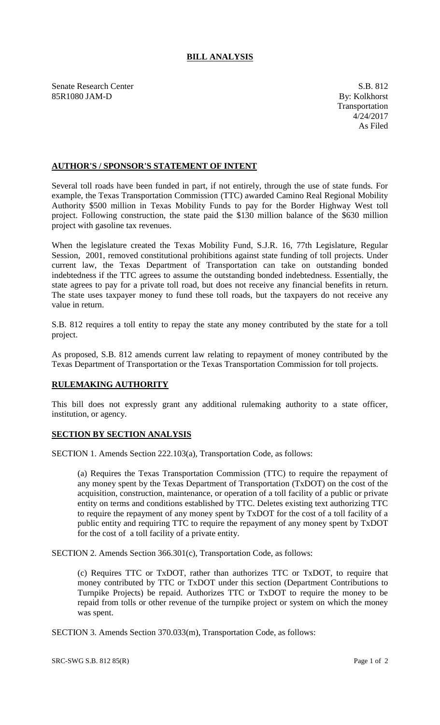## **BILL ANALYSIS**

Senate Research Center S.B. 812 85R1080 JAM-D By: Kolkhorst

## **AUTHOR'S / SPONSOR'S STATEMENT OF INTENT**

Several toll roads have been funded in part, if not entirely, through the use of state funds. For example, the Texas Transportation Commission (TTC) awarded Camino Real Regional Mobility Authority \$500 million in Texas Mobility Funds to pay for the Border Highway West toll project. Following construction, the state paid the \$130 million balance of the \$630 million project with gasoline tax revenues.

When the legislature created the Texas Mobility Fund, S.J.R. 16, 77th Legislature, Regular Session, 2001, removed constitutional prohibitions against state funding of toll projects. Under current law, the Texas Department of Transportation can take on outstanding bonded indebtedness if the TTC agrees to assume the outstanding bonded indebtedness. Essentially, the state agrees to pay for a private toll road, but does not receive any financial benefits in return. The state uses taxpayer money to fund these toll roads, but the taxpayers do not receive any value in return.

S.B. 812 requires a toll entity to repay the state any money contributed by the state for a toll project.

As proposed, S.B. 812 amends current law relating to repayment of money contributed by the Texas Department of Transportation or the Texas Transportation Commission for toll projects.

## **RULEMAKING AUTHORITY**

This bill does not expressly grant any additional rulemaking authority to a state officer, institution, or agency.

## **SECTION BY SECTION ANALYSIS**

SECTION 1. Amends Section 222.103(a), Transportation Code, as follows:

(a) Requires the Texas Transportation Commission (TTC) to require the repayment of any money spent by the Texas Department of Transportation (TxDOT) on the cost of the acquisition, construction, maintenance, or operation of a toll facility of a public or private entity on terms and conditions established by TTC. Deletes existing text authorizing TTC to require the repayment of any money spent by TxDOT for the cost of a toll facility of a public entity and requiring TTC to require the repayment of any money spent by TxDOT for the cost of a toll facility of a private entity.

SECTION 2. Amends Section 366.301(c), Transportation Code, as follows:

(c) Requires TTC or TxDOT, rather than authorizes TTC or TxDOT, to require that money contributed by TTC or TxDOT under this section (Department Contributions to Turnpike Projects) be repaid. Authorizes TTC or TxDOT to require the money to be repaid from tolls or other revenue of the turnpike project or system on which the money was spent.

SECTION 3. Amends Section 370.033(m), Transportation Code, as follows: